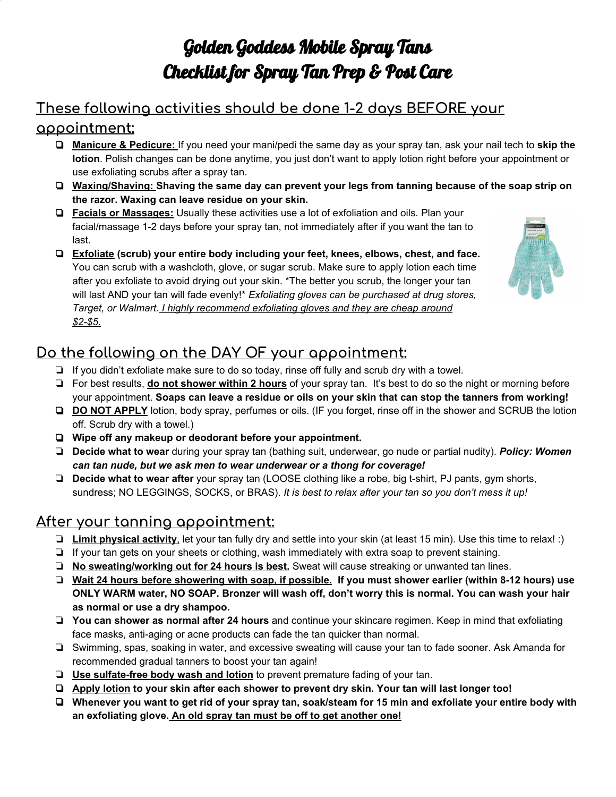# Golden Goddess Mobile Spray Tans Checklist for Spray Tan Prep & Post Care

# **These following activities should be done 1-2 days BEFORE your**

#### **appointment:**

- ❏ **Manicure & Pedicure:** If you need your mani/pedi the same day as your spray tan, ask your nail tech to **skip the lotion**. Polish changes can be done anytime, you just don't want to apply lotion right before your appointment or use exfoliating scrubs after a spray tan.
- ❏ **Waxing/Shaving: Shaving the same day can prevent your legs from tanning because of the soap strip on the razor. Waxing can leave residue on your skin.**
- ❏ **Facials or Massages:** Usually these activities use a lot of exfoliation and oils. Plan your facial/massage 1-2 days before your spray tan, not immediately after if you want the tan to last.
- ❏ **Exfoliate (scrub) your entire body including your feet, knees, elbows, chest, and face.** You can scrub with a washcloth, glove, or sugar scrub. Make sure to apply lotion each time after you exfoliate to avoid drying out your skin. \*The better you scrub, the longer your tan will last AND your tan will fade evenly!\* *Exfoliating gloves can be purchased at drug stores, Target, or Walmart. I highly recommend exfoliating gloves and they are cheap around \$2-\$5.*



## **Do the following on the DAY OF your appointment:**

- ❏ If you didn't exfoliate make sure to do so today, rinse off fully and scrub dry with a towel.
- ❏ For best results, **do not shower within 2 hours** of your spray tan. It's best to do so the night or morning before your appointment. **Soaps can leave a residue or oils on your skin that can stop the tanners from working!**
- ❏ **DO NOT APPLY** lotion, body spray, perfumes or oils. (IF you forget, rinse off in the shower and SCRUB the lotion off. Scrub dry with a towel.)
- ❏ **Wipe off any makeup or deodorant before your appointment.**
- ❏ **Decide what to wear** during your spray tan (bathing suit, underwear, go nude or partial nudity). *Policy: Women can tan nude, but we ask men to wear underwear or a thong for coverage!*
- ❏ **Decide what to wear after** your spray tan (LOOSE clothing like a robe, big t-shirt, PJ pants, gym shorts, sundress; NO LEGGINGS, SOCKS, or BRAS). *It is best to relax after your tan so you don't mess it up!*

### **After your tanning appointment:**

- ❏ **Limit physical activity**, let your tan fully dry and settle into your skin (at least 15 min). Use this time to relax! :)
- ❏ If your tan gets on your sheets or clothing, wash immediately with extra soap to prevent staining.
- ❏ **No sweating/working out for 24 hours is best.** Sweat will cause streaking or unwanted tan lines.
- □ Wait 24 hours before showering with soap, if possible. If you must shower earlier (within 8-12 hours) use ONLY WARM water, NO SOAP. Bronzer will wash off, don't worry this is normal. You can wash your hair **as normal or use a dry shampoo.**
- ❏ **You can shower as normal after 24 hours** and continue your skincare regimen. Keep in mind that exfoliating face masks, anti-aging or acne products can fade the tan quicker than normal.
- ❏ Swimming, spas, soaking in water, and excessive sweating will cause your tan to fade sooner. Ask Amanda for recommended gradual tanners to boost your tan again!
- ❏ **Use sulfate-free body wash and lotion** to prevent premature fading of your tan.
- ❏ **Apply lotion to your skin after each shower to prevent dry skin. Your tan will last longer too!**
- □ Whenever you want to get rid of your spray tan, soak/steam for 15 min and exfoliate your entire body with **an exfoliating glove. An old spray tan must be off to get another one!**